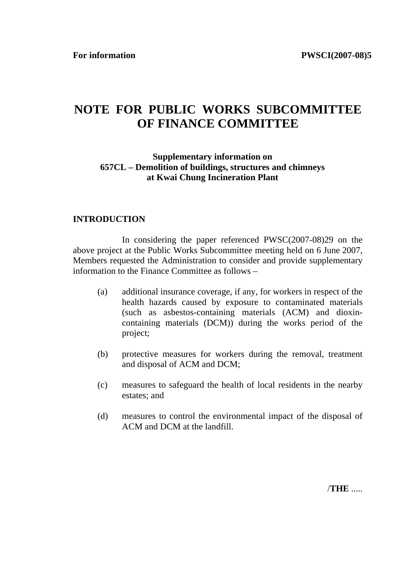For information **PWSCI(2007-08)5** 

# **NOTE FOR PUBLIC WORKS SUBCOMMITTEE OF FINANCE COMMITTEE**

#### **Supplementary information on 657CL – Demolition of buildings, structures and chimneys at Kwai Chung Incineration Plant**

## **INTRODUCTION**

 In considering the paper referenced PWSC(2007-08)29 on the above project at the Public Works Subcommittee meeting held on 6 June 2007, Members requested the Administration to consider and provide supplementary information to the Finance Committee as follows –

- (a) additional insurance coverage, if any, for workers in respect of the health hazards caused by exposure to contaminated materials (such as asbestos-containing materials (ACM) and dioxincontaining materials (DCM)) during the works period of the project;
- (b) protective measures for workers during the removal, treatment and disposal of ACM and DCM;
- (c) measures to safeguard the health of local residents in the nearby estates; and
- (d) measures to control the environmental impact of the disposal of ACM and DCM at the landfill.

/**THE** .....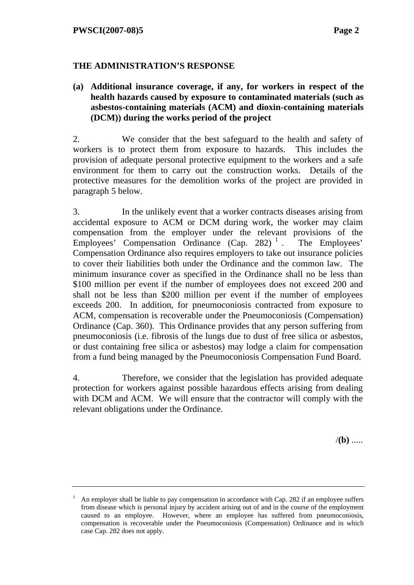## **THE ADMINISTRATION'S RESPONSE**

**(a) Additional insurance coverage, if any, for workers in respect of the health hazards caused by exposure to contaminated materials (such as asbestos-containing materials (ACM) and dioxin-containing materials (DCM)) during the works period of the project**

2. We consider that the best safeguard to the health and safety of workers is to protect them from exposure to hazards. This includes the provision of adequate personal protective equipment to the workers and a safe environment for them to carry out the construction works. Details of the protective measures for the demolition works of the project are provided in paragraph 5 below.

3. In the unlikely event that a worker contracts diseases arising from accidental exposure to ACM or DCM during work, the worker may claim compensation from the employer under the relevant provisions of the Employees' Compensation Ordinance  $(Cap. 282)$ <sup>1</sup>. The Employees' Compensation Ordinance also requires employers to take out insurance policies to cover their liabilities both under the Ordinance and the common law. The minimum insurance cover as specified in the Ordinance shall no be less than \$100 million per event if the number of employees does not exceed 200 and shall not be less than \$200 million per event if the number of employees exceeds 200. In addition, for pneumoconiosis contracted from exposure to ACM, compensation is recoverable under the Pneumoconiosis (Compensation) Ordinance (Cap. 360). This Ordinance provides that any person suffering from pneumoconiosis (i.e. fibrosis of the lungs due to dust of free silica or asbestos, or dust containing free silica or asbestos) may lodge a claim for compensation from a fund being managed by the Pneumoconiosis Compensation Fund Board.

4. Therefore, we consider that the legislation has provided adequate protection for workers against possible hazardous effects arising from dealing with DCM and ACM. We will ensure that the contractor will comply with the relevant obligations under the Ordinance.

/**(b)** .....

<sup>&</sup>lt;sup>1</sup> An employer shall be liable to pay compensation in accordance with Cap. 282 if an employee suffers from disease which is personal injury by accident arising out of and in the course of the employment caused to an employee. However, where an employee has suffered from pneumoconiosis, compensation is recoverable under the Pneumoconiosis (Compensation) Ordinance and in which case Cap. 282 does not apply.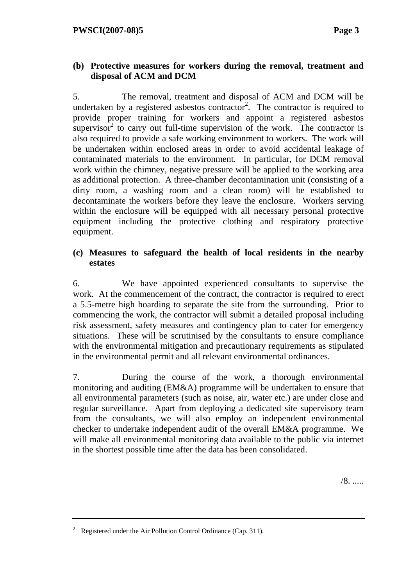## **(b) Protective measures for workers during the removal, treatment and disposal of ACM and DCM**

5. The removal, treatment and disposal of ACM and DCM will be undertaken by a registered asbestos contractor<sup>2</sup>. The contractor is required to provide proper training for workers and appoint a registered asbestos supervisor<sup>2</sup> to carry out full-time supervision of the work. The contractor is also required to provide a safe working environment to workers. The work will be undertaken within enclosed areas in order to avoid accidental leakage of contaminated materials to the environment. In particular, for DCM removal work within the chimney, negative pressure will be applied to the working area as additional protection. A three-chamber decontamination unit (consisting of a dirty room, a washing room and a clean room) will be established to decontaminate the workers before they leave the enclosure. Workers serving within the enclosure will be equipped with all necessary personal protective equipment including the protective clothing and respiratory protective equipment.

## **(c) Measures to safeguard the health of local residents in the nearby estates**

6. We have appointed experienced consultants to supervise the work. At the commencement of the contract, the contractor is required to erect a 5.5-metre high hoarding to separate the site from the surrounding. Prior to commencing the work, the contractor will submit a detailed proposal including risk assessment, safety measures and contingency plan to cater for emergency situations. These will be scrutinised by the consultants to ensure compliance with the environmental mitigation and precautionary requirements as stipulated in the environmental permit and all relevant environmental ordinances.

7. During the course of the work, a thorough environmental monitoring and auditing (EM&A) programme will be undertaken to ensure that all environmental parameters (such as noise, air, water etc.) are under close and regular surveillance. Apart from deploying a dedicated site supervisory team from the consultants, we will also employ an independent environmental checker to undertake independent audit of the overall EM&A programme. We will make all environmental monitoring data available to the public via internet in the shortest possible time after the data has been consolidated.

/8. .....

<sup>2</sup> Registered under the Air Pollution Control Ordinance (Cap. 311).